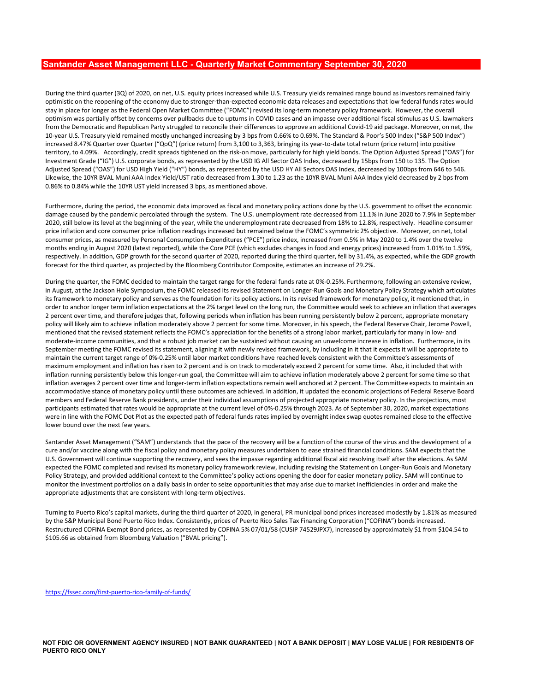## Santander Asset Management LLC - Quarterly Market Commentary September 30, 2020

During the third quarter (3Q) of 2020, on net, U.S. equity prices increased while U.S. Treasury yields remained range bound as investors remained fairly optimistic on the reopening of the economy due to stronger-than-expected economic data releases and expectations that low federal funds rates would stay in place for longer as the Federal Open Market Committee ("FOMC") revised its long-term monetary policy framework. However, the overall optimism was partially offset by concerns over pullbacks due to upturns in COVID cases and an impasse over additional fiscal stimulus as U.S. lawmakers **Santander Asset Management LLC - Quarterly Market Commentary September 30, 2020**<br>During the third quarter (3Q) of 2020, on net, U.S. equity prices increased while U.S. Treasury yields remained range bound as investors rem 10-year U.S. Treasury yield remained mostly unchanged increasing by 3 bps from 0.66% to 0.69%. The Standard & Poor's 500 Index ("S&P 500 Index") increased 8.47% Quarter over Quarter ("QoQ") (price return) from 3,100 to 3,363, bringing its year-to-date total return (price return) into positive territory, to 4.09%. Accordingly, credit spreads tightened on the risk-on move, particularly for high yield bonds. The Option Adjusted Spread ("OAS") for Investment Grade ("IG") U.S. corporate bonds, as represented by the USD IG All Sector OAS Index, decreased by 15bps from 150 to 135. The Option **Santander Asset Management LLC - Quarterly Market Commentary September 30, 2020**<br>During the third quarter (30) of 2020, on net, U.S. equity prices increased while U.S. Treasury yields remained range bound as investors rem Likewise, the 10YR BVAL Muni AAA Index Yield/UST ratio decreased from 1.30 to 1.23 as the 10YR BVAL Muni AAA Index yield decreased by 2 bps from 0.86% to 0.84% while the 10YR UST yield increased 3 bps, as mentioned above. **Bantandor Assot Management LLC - Quarterly Market Commentary September 30, 2020**<br>During the third quarter (30) el 2000, on net, U.S. equily prices increased while U.S. Treasury yields remained ange bound as investors rema  $B$ Gminitricary Asset Managementi LLC - Curation when the U.S. Tressery viels remined range bound as investor consinct fairly<br>puring the third quarter (30) of 7020, on not, U.S. Tensity prices increased while U.S. Tresser

Furthermore, during the period, the economic data improved as fiscal and monetary policy actions done by the U.S. government to offset the economic 2020, still below its level at the beginning of the year, while the underemployment rate decreased from 18% to 12.8%, respectively. Headline consumer price inflation and core consumer price inflation readings increased but remained below the FOMC's symmetric 2% objective. Moreover, on net, total consumer prices, as measured by Personal Consumption Expenditures ("PCE") price index, increased from 0.5% in May 2020 to 1.4% over the twelve months ending in August 2020 (latest reported), while the Core PCE (which excludes changes in food and energy prices) increased from 1.01% to 1.59%, respectively. In addition, GDP growth for the second quarter of 2020, reported during the third quarter, fell by 31.4%, as expected, while the GDP growth forecast for the third quarter, as projected by the Bloomberg Contributor Composite, estimates an increase of 29.2%.

in August, at the Jackson Hole Symposium, the FOMC released its revised Statement on Longer-Run Goals and Monetary Policy Strategy which articulates its framework to monetary policy and serves as the foundation for its policy actions. In its revised framework for monetary policy, it mentioned that, in order to anchor longer term inflation expectations at the 2% target level on the long run, the Committee would seek to achieve an inflation that averages 2 percent over time, and therefore judges that, following periods when inflation has been running persistently below 2 percent, appropriate monetary policy will likely aim to achieve inflation moderately above 2 percent for some time. Moreover, in his speech, the Federal Reserve Chair, Jerome Powell, coptimizes particle by concerns over publisation etc. to publis the resolution in the results of a statement resident in the resolution in the resolution field statement results of a statement results of a statement reflec moderate-income communities, and that a robust job market can be sustained without causing an unwelcome increase in inflation. Furthermore, in its September meeting the FOMC revised its statement, aligning it with newly revised framework, by including in it that it expects it will be appropriate to maintain the current target range of 0%-0.25% until labor market conditions have reached levels consistent with the Committee's assessments of maximum employment and inflation has risen to 2 percent and is on track to moderately exceed 2 percent for some time. Also, it included that with inflation running persistently below this longer-run goal, the Committee will aim to achieve inflation moderately above 2 percent for some time so that inflation averages 2 percent over time and longer-term inflation expectations remain well anchored at 2 percent. The Committee expects to maintain an accommodative stance of monetary policy until these outcomes are achieved. In addition, it updated the economic projections of Federal Reserve Board 0.88% to 0.84% while the 1076 UST yield increased 3 bps, an mentioned above.<br>In urbeannor, during the persons, the economic das interactions a fitcal and nonoted projected approach one BSY, meanwhered to offset the economi participants estimated that rates would be appropriate at the current level of 0%-0.25% through 2023. As of September 30, 2020, market expectations were in line with the FOMC Dot Plot as the expected path of federal funds rates implied by overnight index swap quotes remained close to the effective lower bound over the next few years. 2 percent now time and thereive indebt is more to the bond percent by correct prices, as represented by COFINA Exercisity above 2 percent for some time. Moreover, in its speech, the ferviole discusses percent in the revise

Santander Asset Management ("SAM") understands that the pace of the recovery will be a function of the course of the virus and the development of a cure and/or vaccine along with the fiscal policy and monetary policy measures undertaken to ease strained financial conditions. SAM expects that the U.S. Government will continue supporting the recovery, and sees the impasse regarding additional fiscal aid resolving itself after the elections. As SAM expected the FOMC completed and revised its monetary policy framework review, including revising the Statement on Longer-Run Goals and Monetary Policy Strategy, and provided additional context to the Committee's policy actions opening the door for easier monetary policy. SAM will continue to monitor the investment portfolios on a daily basis in order to seize opportunities that may arise due to market inefficiencies in order and make the appropriate adjustments that are consistent with long-term objectives.

Turning to Puerto Rico's capital markets, during the third quarter of 2020, in general, PR municipal bond prices increased modestly by 1.81% as measured by the S&P Municipal Bond Puerto Rico Index. Consistently, prices of Puerto Rico Sales Tax Financing Corporation ("COFINA") bonds increased. \$105.66 as obtained from Bloomberg Valuation ("BVAL pricing").

https://fssec.com/first-puerto-rico-family-of-funds/